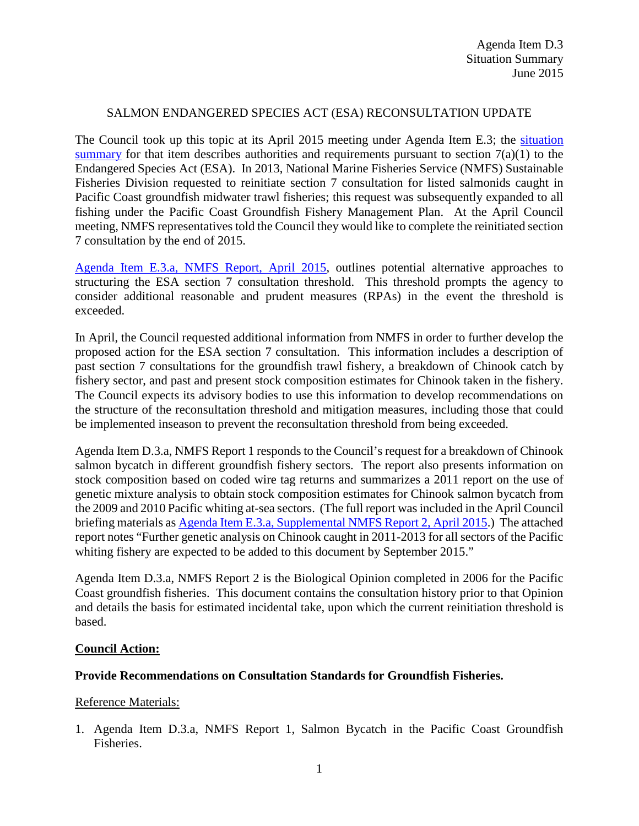## SALMON ENDANGERED SPECIES ACT (ESA) RECONSULTATION UPDATE

The Council took up this topic at its April 2015 meeting under Agenda Item E.3; the [situation](http://www.pcouncil.org/wp-content/uploads/2015/03/E3_SitSum_SalmonReconsultUpdate_APR2015BB.pdf)  [summary](http://www.pcouncil.org/wp-content/uploads/2015/03/E3_SitSum_SalmonReconsultUpdate_APR2015BB.pdf) for that item describes authorities and requirements pursuant to section  $7(a)(1)$  to the Endangered Species Act (ESA). In 2013, National Marine Fisheries Service (NMFS) Sustainable Fisheries Division requested to reinitiate section 7 consultation for listed salmonids caught in Pacific Coast groundfish midwater trawl fisheries; this request was subsequently expanded to all fishing under the Pacific Coast Groundfish Fishery Management Plan. At the April Council meeting, NMFS representatives told the Council they would like to complete the reinitiated section 7 consultation by the end of 2015.

[Agenda Item E.3.a, NMFS](http://www.pcouncil.org/wp-content/uploads/2015/03/E3a_NMFS_Rpt_GFSalmonConsultation_APR2015BB.pdf) Report, April 2015, outlines potential alternative approaches to structuring the ESA section 7 consultation threshold. This threshold prompts the agency to consider additional reasonable and prudent measures (RPAs) in the event the threshold is exceeded.

In April, the Council requested additional information from NMFS in order to further develop the proposed action for the ESA section 7 consultation. This information includes a description of past section 7 consultations for the groundfish trawl fishery, a breakdown of Chinook catch by fishery sector, and past and present stock composition estimates for Chinook taken in the fishery. The Council expects its advisory bodies to use this information to develop recommendations on the structure of the reconsultation threshold and mitigation measures, including those that could be implemented inseason to prevent the reconsultation threshold from being exceeded.

Agenda Item D.3.a, NMFS Report 1 responds to the Council's request for a breakdown of Chinook salmon bycatch in different groundfish fishery sectors. The report also presents information on stock composition based on coded wire tag returns and summarizes a 2011 report on the use of genetic mixture analysis to obtain stock composition estimates for Chinook salmon bycatch from the 2009 and 2010 Pacific whiting at-sea sectors. (The full report was included in the April Council briefing materials as [Agenda Item E.3.a, Supplemental NMFS Report 2, April 2015.](http://www.pcouncil.org/wp-content/uploads/2015/04/E3a_SupNMFS_Rpt_Moran_Tuttle_Genetic_APR2015BB.pdf)) The attached report notes "Further genetic analysis on Chinook caught in 2011-2013 for all sectors of the Pacific whiting fishery are expected to be added to this document by September 2015."

Agenda Item D.3.a, NMFS Report 2 is the Biological Opinion completed in 2006 for the Pacific Coast groundfish fisheries. This document contains the consultation history prior to that Opinion and details the basis for estimated incidental take, upon which the current reinitiation threshold is based.

### **Council Action:**

### **Provide Recommendations on Consultation Standards for Groundfish Fisheries.**

### Reference Materials:

1. Agenda Item D.3.a, NMFS Report 1, Salmon Bycatch in the Pacific Coast Groundfish Fisheries.